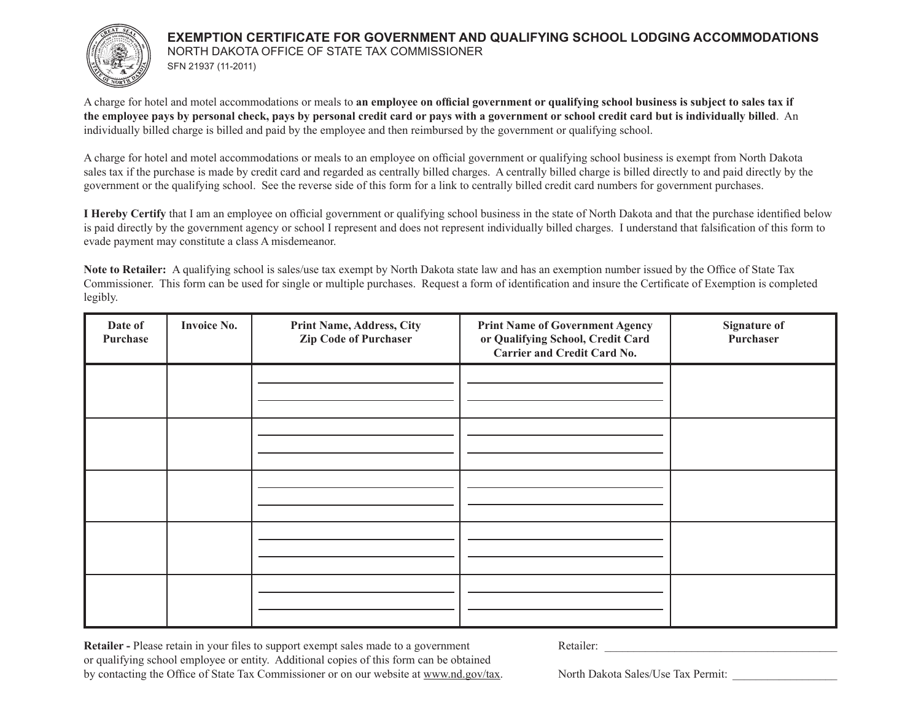

## **EXEMPTION CERTIFICATE FOR GOVERNMENT AND QUALIFYING SCHOOL LODGING ACCOMMODATIONS** NORTH DAKOTA OFFICE OF STATE TAX COMMISSIONER SFN 21937 (11-2011)

A charge for hotel and motel accommodations or meals to **an employee on official government or qualifying school business is subject to sales tax if the employee pays by personal check, pays by personal credit card or pays with a government or school credit card but is individually billed**. An individually billed charge is billed and paid by the employee and then reimbursed by the government or qualifying school.

A charge for hotel and motel accommodations or meals to an employee on official government or qualifying school business is exempt from North Dakota sales tax if the purchase is made by credit card and regarded as centrally billed charges. A centrally billed charge is billed directly to and paid directly by the government or the qualifying school. See the reverse side of this form for a link to centrally billed credit card numbers for government purchases.

**I Hereby Certify** that I am an employee on official government or qualifying school business in the state of North Dakota and that the purchase identified below is paid directly by the government agency or school I represent and does not represent individually billed charges. I understand that falsification of this form to evade payment may constitute a class A misdemeanor.

**Note to Retailer:** A qualifying school is sales/use tax exempt by North Dakota state law and has an exemption number issued by the Office of State Tax Commissioner. This form can be used for single or multiple purchases. Request a form of identification and insure the Certificate of Exemption is completed legibly.

| Date of<br>Purchase | <b>Invoice No.</b> | <b>Print Name, Address, City</b><br><b>Zip Code of Purchaser</b> | <b>Print Name of Government Agency</b><br>or Qualifying School, Credit Card<br><b>Carrier and Credit Card No.</b> | <b>Signature of</b><br>Purchaser |
|---------------------|--------------------|------------------------------------------------------------------|-------------------------------------------------------------------------------------------------------------------|----------------------------------|
|                     |                    |                                                                  |                                                                                                                   |                                  |
|                     |                    |                                                                  |                                                                                                                   |                                  |
|                     |                    |                                                                  |                                                                                                                   |                                  |
|                     |                    |                                                                  |                                                                                                                   |                                  |
|                     |                    |                                                                  |                                                                                                                   |                                  |

**Retailer -** Please retain in your files to support exempt sales made to a government Retailer: or qualifying school employee or entity. Additional copies of this form can be obtained by contacting the Office of State Tax Commissioner or on our website at www.nd.gov/tax. North Dakota Sales/Use Tax Permit: